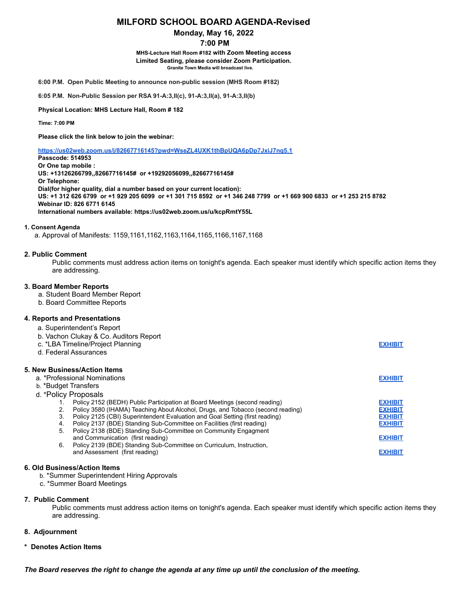# **MILFORD SCHOOL BOARD AGENDA-Revised**

## **Monday, May 16, 2022**

## **7:00 PM**

**MHS-Lecture Hall Room #182 with Zoom Meeting access Limited Seating, please consider Zoom Participation. Granite Town Media will broadcast live.**

**6:00 P.M. Open Public Meeting to announce non-public session (MHS Room #182)**

**6:05 P.M. Non-Public Session per RSA 91-A:3,II(c), 91-A:3,II(a), 91-A:3,II(b)**

**Physical Location: MHS Lecture Hall, Room # 182**

**Time: 7:00 PM**

**Please click the link below to join the webinar:**

**<https://us02web.zoom.us/j/82667716145?pwd=WseZL4UXK1thBpUQA6pDp7JxiJ7nq5.1>**

**Passcode: 514953 Or One tap mobile : US: +13126266799,,82667716145# or +19292056099,,82667716145# Or Telephone: Dial(for higher quality, dial a number based on your current location):** US: +1 312 626 6799 or +1 929 205 6099 or +1 301 715 8592 or +1 346 248 7799 or +1 669 900 6833 or +1 253 215 8782 **Webinar ID: 826 6771 6145 International numbers available: https://us02web.zoom.us/u/kcpRmtY55L**

#### **1. Consent Agenda**

a. Approval of Manifests: 1159,1161,1162,1163,1164,1165,1166,1167,1168

### **2. Public Comment**

Public comments must address action items on tonight's agenda. Each speaker must identify which specific action items they are addressing.

#### **3. Board Member Reports**

- a. Student Board Member Report
- b. Board Committee Reports

## **4. Reports and Presentations**

|  | a. Superintendent's Report |  |  |  |
|--|----------------------------|--|--|--|
|  |                            |  |  |  |

| b. Vachon Clukay & Co. Auditors Report<br>c. *LBA Timeline/Project Planning<br>d. Federal Assurances         | <b>EXHIBIT</b> |
|--------------------------------------------------------------------------------------------------------------|----------------|
| 5. New Business/Action Items<br>a. *Professional Nominations<br>b. *Budget Transfers<br>d. *Policy Proposals | <b>EXHIBIT</b> |
| Policy 2152 (BEDH) Public Participation at Board Meetings (second reading)                                   | <b>EXHIBIT</b> |
| Policy 3580 (IHAMA) Teaching About Alcohol, Drugs, and Tobacco (second reading)<br>2.                        | <b>EXHIBIT</b> |
| Policy 2125 (CBI) Superintendent Evaluation and Goal Setting (first reading)<br>3.                           | <b>EXHIBIT</b> |
| Policy 2137 (BDE) Standing Sub-Committee on Facilities (first reading)<br>4.                                 | <b>EXHIBIT</b> |
| Policy 2138 (BDE) Standing Sub-Committee on Community Engagment<br>5.<br>and Communication (first reading)   | <b>EXHIBIT</b> |
| Policy 2139 (BDE) Standing Sub-Committee on Curriculum, Instruction,<br>6.<br>and Assessment (first reading) | <b>EXHIBIT</b> |
|                                                                                                              |                |

### **6. Old Business/Action Items**

b. \*Summer Superintendent Hiring Approvals

c. \*Summer Board Meetings

#### **7. Public Comment**

Public comments must address action items on tonight's agenda. Each speaker must identify which specific action items they are addressing.

## **8. Adjournment**

#### **\* Denotes Action Items**

*The Board reserves the right to change the agenda at any time up until the conclusion of the meeting.*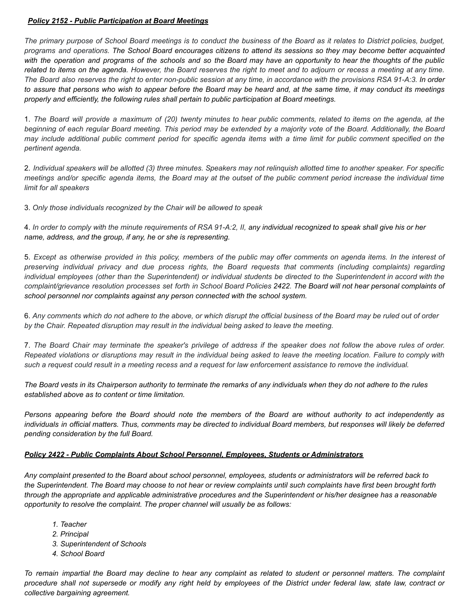# *Policy 2152 - Public Participation at Board Meetings*

The primary purpose of School Board meetings is to conduct the business of the Board as it relates to District policies, budget, programs and operations. The School Board encourages citizens to attend its sessions so they may become better acquainted with the operation and programs of the schools and so the Board may have an opportunity to hear the thoughts of the public related to items on the agenda. However, the Board reserves the right to meet and to adjourn or recess a meeting at any time. The Board also reserves the right to enter non-public session at any time, in accordance with the provisions RSA 91-A:3. In order to assure that persons who wish to appear before the Board may be heard and, at the same time, it may conduct its meetings *properly and efficiently, the following rules shall pertain to public participation at Board meetings.*

1. The Board will provide a maximum of (20) twenty minutes to hear public comments, related to items on the agenda, at the beginning of each regular Board meeting. This period may be extended by a majority vote of the Board. Additionally, the Board may include additional public comment period for specific agenda items with a time limit for public comment specified on the *pertinent agenda.*

2. Individual speakers will be allotted (3) three minutes. Speakers may not relinquish allotted time to another speaker. For specific meetings and/or specific agenda items, the Board may at the outset of the public comment period increase the individual time *limit for all speakers*

3. *Only those individuals recognized by the Chair will be allowed to speak*

4. In order to comply with the minute requirements of RSA 91-A:2, II, any individual recognized to speak shall give his or her *name, address, and the group, if any, he or she is representing.*

5. Except as otherwise provided in this policy, members of the public may offer comments on agenda items. In the interest of *preserving individual privacy and due process rights, the Board requests that comments (including complaints) regarding* individual employees (other than the Superintendent) or individual students be directed to the Superintendent in accord with the complaint/grievance resolution processes set forth in School Board Policies 2422. The Board will not hear personal complaints of *school personnel nor complaints against any person connected with the school system.*

6. Any comments which do not adhere to the above, or which disrupt the official business of the Board may be ruled out of order *by the Chair. Repeated disruption may result in the individual being asked to leave the meeting.*

7. The Board Chair may terminate the speaker's privilege of address if the speaker does not follow the above rules of order. Repeated violations or disruptions may result in the individual being asked to leave the meeting location. Failure to comply with such a request could result in a meeting recess and a request for law enforcement assistance to remove the individual.

The Board vests in its Chairperson authority to terminate the remarks of any individuals when they do not adhere to the rules *established above as to content or time limitation.*

Persons appearing before the Board should note the members of the Board are without authority to act independently as individuals in official matters. Thus, comments may be directed to individual Board members, but responses will likely be deferred *pending consideration by the full Board.*

# *Policy 2422 - Public Complaints About School Personnel, Employees, Students or Administrators*

Any complaint presented to the Board about school personnel, employees, students or administrators will be referred back to the Superintendent. The Board may choose to not hear or review complaints until such complaints have first been brought forth through the appropriate and applicable administrative procedures and the Superintendent or his/her designee has a reasonable *opportunity to resolve the complaint. The proper channel will usually be as follows:*

- *1. Teacher*
- *2. Principal*
- *3. Superintendent of Schools*
- *4. School Board*

To remain impartial the Board may decline to hear any complaint as related to student or personnel matters. The complaint procedure shall not supersede or modify any right held by employees of the District under federal law, state law, contract or *collective bargaining agreement.*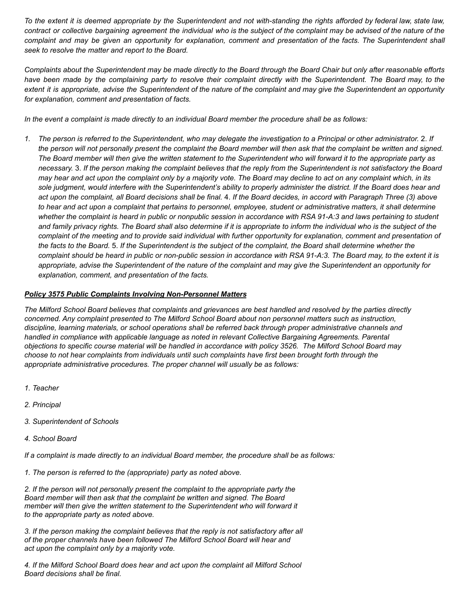To the extent it is deemed appropriate by the Superintendent and not with-standing the rights afforded by federal law, state law, contract or collective bargaining agreement the individual who is the subject of the complaint may be advised of the nature of the complaint and may be given an opportunity for explanation, comment and presentation of the facts. The Superintendent shall *seek to resolve the matter and report to the Board.*

Complaints about the Superintendent may be made directly to the Board through the Board Chair but only after reasonable efforts have been made by the complaining party to resolve their complaint directly with the Superintendent. The Board may, to the extent it is appropriate, advise the Superintendent of the nature of the complaint and may give the Superintendent an opportunity *for explanation, comment and presentation of facts.*

In the event a complaint is made directly to an individual Board member the procedure shall be as follows:

1. The person is referred to the Superintendent, who may delegate the investigation to a Principal or other administrator. 2. If the person will not personally present the complaint the Board member will then ask that the complaint be written and signed. The Board member will then give the written statement to the Superintendent who will forward it to the appropriate party as necessary. 3. If the person making the complaint believes that the reply from the Superintendent is not satisfactory the Board may hear and act upon the complaint only by a majority vote. The Board may decline to act on any complaint which, in its sole judgment, would interfere with the Superintendent's ability to properly administer the district. If the Board does hear and act upon the complaint, all Board decisions shall be final. 4. If the Board decides, in accord with Paragraph Three (3) above to hear and act upon a complaint that pertains to personnel, employee, student or administrative matters, it shall determine whether the complaint is heard in public or nonpublic session in accordance with RSA 91-A:3 and laws pertaining to student and family privacy rights. The Board shall also determine if it is appropriate to inform the individual who is the subject of the complaint of the meeting and to provide said individual with further opportunity for explanation, comment and presentation of the facts to the Board. 5. If the Superintendent is the subject of the complaint, the Board shall determine whether the complaint should be heard in public or non-public session in accordance with RSA 91-A:3. The Board may, to the extent it is appropriate, advise the Superintendent of the nature of the complaint and may give the Superintendent an opportunity for *explanation, comment, and presentation of the facts.*

## *Policy 3575 Public Complaints Involving Non-Personnel Matters*

The Milford School Board believes that complaints and grievances are best handled and resolved by the parties directly *concerned. Any complaint presented to The Milford School Board about non personnel matters such as instruction, discipline, learning materials, or school operations shall be referred back through proper administrative channels and handled in compliance with applicable language as noted in relevant Collective Bargaining Agreements. Parental* objections to specific course material will be handled in accordance with policy 3526. The Milford School Board may choose to not hear complaints from individuals until such complaints have first been brought forth through the *appropriate administrative procedures. The proper channel will usually be as follows:*

- *1. Teacher*
- *2. Principal*
- *3. Superintendent of Schools*
- *4. School Board*

*If a complaint is made directly to an individual Board member, the procedure shall be as follows:*

*1. The person is referred to the (appropriate) party as noted above.*

*2. If the person will not personally present the complaint to the appropriate party the Board member will then ask that the complaint be written and signed. The Board member will then give the written statement to the Superintendent who will forward it to the appropriate party as noted above.*

*3. If the person making the complaint believes that the reply is not satisfactory after all of the proper channels have been followed The Milford School Board will hear and act upon the complaint only by a majority vote.*

*4. If the Milford School Board does hear and act upon the complaint all Milford School Board decisions shall be final.*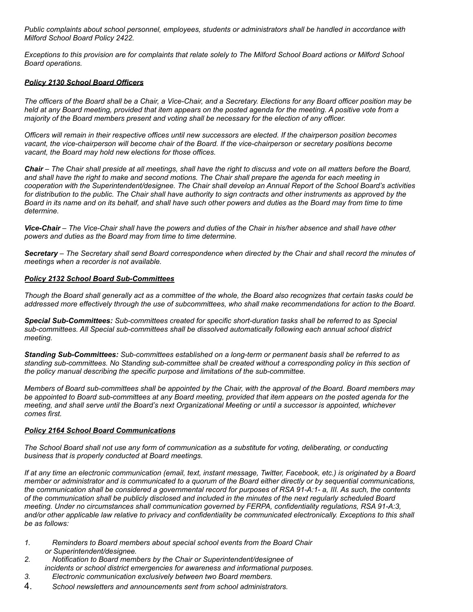*Public complaints about school personnel, employees, students or administrators shall be handled in accordance with Milford School Board Policy 2422.*

Exceptions to this provision are for complaints that relate solely to The Milford School Board actions or Milford School *Board operations.*

# *Policy 2130 School Board Officers*

The officers of the Board shall be a Chair, a Vice-Chair, and a Secretary. Elections for any Board officer position may be held at any Board meeting, provided that item appears on the posted agenda for the meeting. A positive vote from a *majority of the Board members present and voting shall be necessary for the election of any officer.*

Officers will remain in their respective offices until new successors are elected. If the chairperson position becomes vacant, the vice-chairperson will become chair of the Board. If the vice-chairperson or secretary positions become *vacant, the Board may hold new elections for those offices.*

Chair – The Chair shall preside at all meetings, shall have the right to discuss and vote on all matters before the Board, and shall have the right to make and second motions. The Chair shall prepare the agenda for each meeting in cooperation with the Superintendent/designee. The Chair shall develop an Annual Report of the School Board's activities for distribution to the public. The Chair shall have authority to sign contracts and other instruments as approved by the Board in its name and on its behalf, and shall have such other powers and duties as the Board may from time to time *determine.*

Vice-Chair – The Vice-Chair shall have the powers and duties of the Chair in his/her absence and shall have other *powers and duties as the Board may from time to time determine.*

Secretary – The Secretary shall send Board correspondence when directed by the Chair and shall record the minutes of *meetings when a recorder is not available.*

#### *Policy 2132 School Board Sub-Committees*

Though the Board shall generally act as a committee of the whole, the Board also recognizes that certain tasks could be addressed more effectively through the use of subcommittees, who shall make recommendations for action to the Board,

*Special Sub-Committees: Sub-committees created for specific short-duration tasks shall be referred to as Special sub-committees. All Special sub-committees shall be dissolved automatically following each annual school district meeting.*

*Standing Sub-Committees: Sub-committees established on a long-term or permanent basis shall be referred to as* standing sub-committees. No Standing sub-committee shall be created without a corresponding policy in this section of *the policy manual describing the specific purpose and limitations of the sub-committee.*

Members of Board sub-committees shall be appointed by the Chair, with the approval of the Board. Board members may be appointed to Board sub-committees at any Board meeting, provided that item appears on the posted agenda for the meeting, and shall serve until the Board's next Organizational Meeting or until a successor is appointed, whichever *comes first.*

#### *Policy 2164 School Board Communications*

The School Board shall not use any form of communication as a substitute for voting, deliberating, or conducting *business that is properly conducted at Board meetings.*

If at any time an electronic communication (email, text, instant message, Twitter, Facebook, etc.) is originated by a Board member or administrator and is communicated to a quorum of the Board either directly or by sequential communications, the communication shall be considered a governmental record for purposes of RSA 91-A:1- a. III. As such, the contents of the communication shall be publicly disclosed and included in the minutes of the next regularly scheduled Board *meeting. Under no circumstances shall communication governed by FERPA, confidentiality regulations, RSA 91-A:3,* and/or other applicable law relative to privacy and confidentiality be communicated electronically. Exceptions to this shall *be as follows:*

- *1. Reminders to Board members about special school events from the Board Chair or Superintendent/designee.*
- *2. Notification to Board members by the Chair or Superintendent/designee of incidents or school district emergencies for awareness and informational purposes.*
- *3. Electronic communication exclusively between two Board members.*
- 4. *School newsletters and announcements sent from school administrators.*